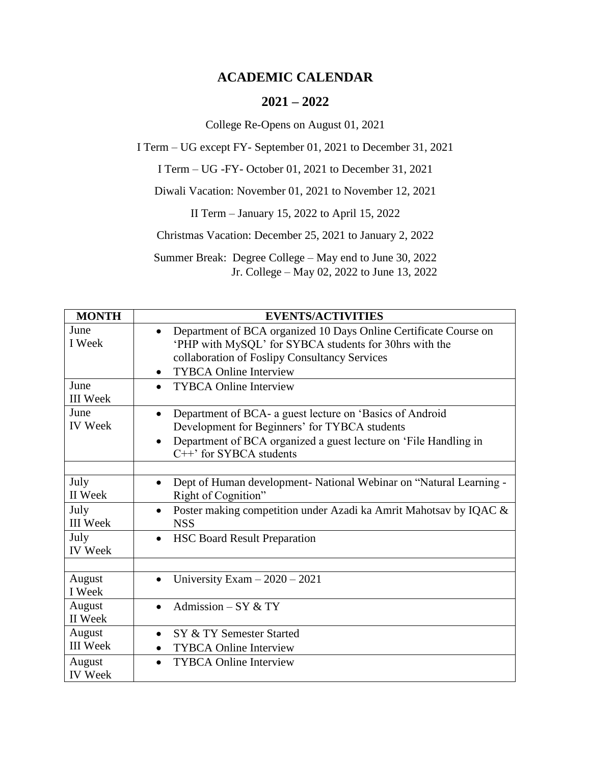## **ACADEMIC CALENDAR**

## **2021 – 2022**

College Re-Opens on August 01, 2021

I Term – UG except FY- September 01, 2021 to December 31, 2021

I Term – UG -FY- October 01, 2021 to December 31, 2021

Diwali Vacation: November 01, 2021 to November 12, 2021

II Term – January 15, 2022 to April 15, 2022

Christmas Vacation: December 25, 2021 to January 2, 2022

Summer Break: Degree College – May end to June 30, 2022 Jr. College – May 02, 2022 to June 13, 2022

| <b>MONTH</b>              | <b>EVENTS/ACTIVITIES</b>                                                                                                                                                                                                |
|---------------------------|-------------------------------------------------------------------------------------------------------------------------------------------------------------------------------------------------------------------------|
| June<br>I Week            | Department of BCA organized 10 Days Online Certificate Course on<br>'PHP with MySQL' for SYBCA students for 30hrs with the<br>collaboration of Foslipy Consultancy Services<br><b>TYBCA Online Interview</b>            |
| June<br><b>III</b> Week   | <b>TYBCA Online Interview</b>                                                                                                                                                                                           |
| June<br><b>IV</b> Week    | Department of BCA- a guest lecture on 'Basics of Android<br>Development for Beginners' for TYBCA students<br>Department of BCA organized a guest lecture on 'File Handling in<br>$\bullet$<br>$C++'$ for SYBCA students |
| July<br>II Week           | Dept of Human development- National Webinar on "Natural Learning -<br>Right of Cognition"                                                                                                                               |
| July<br><b>III</b> Week   | Poster making competition under Azadi ka Amrit Mahotsav by IQAC &<br>$\bullet$<br><b>NSS</b>                                                                                                                            |
| July<br><b>IV</b> Week    | <b>HSC Board Result Preparation</b>                                                                                                                                                                                     |
| August<br>I Week          | University Exam $-2020 - 2021$                                                                                                                                                                                          |
| August<br>II Week         | Admission $-$ SY & TY                                                                                                                                                                                                   |
| August<br><b>III</b> Week | SY & TY Semester Started<br>$\bullet$<br><b>TYBCA Online Interview</b>                                                                                                                                                  |
| August<br><b>IV</b> Week  | <b>TYBCA Online Interview</b>                                                                                                                                                                                           |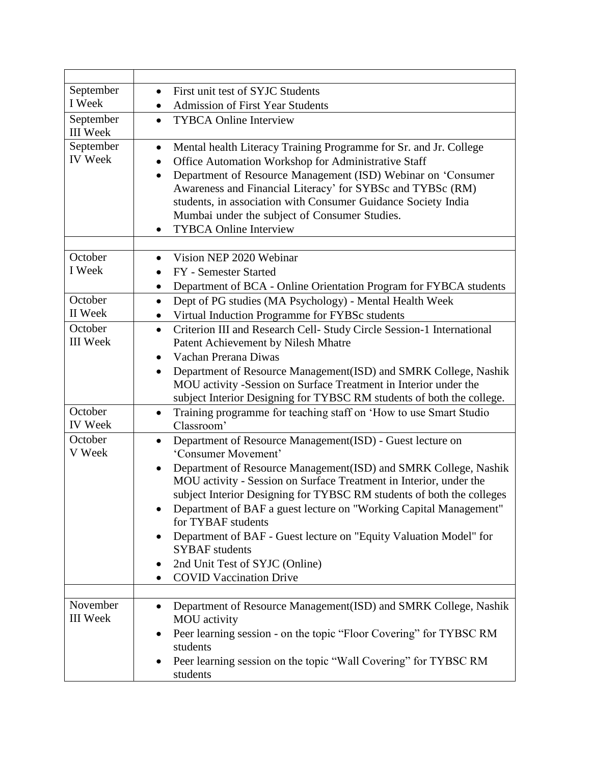| September                    | First unit test of SYJC Students                                                                                                                                                                                                                                                                                                                                                                                                                      |
|------------------------------|-------------------------------------------------------------------------------------------------------------------------------------------------------------------------------------------------------------------------------------------------------------------------------------------------------------------------------------------------------------------------------------------------------------------------------------------------------|
| I Week                       | <b>Admission of First Year Students</b>                                                                                                                                                                                                                                                                                                                                                                                                               |
| September<br><b>III</b> Week | <b>TYBCA Online Interview</b><br>$\bullet$                                                                                                                                                                                                                                                                                                                                                                                                            |
| September<br><b>IV</b> Week  | Mental health Literacy Training Programme for Sr. and Jr. College<br>٠<br>Office Automation Workshop for Administrative Staff<br>$\bullet$<br>Department of Resource Management (ISD) Webinar on 'Consumer<br>$\bullet$<br>Awareness and Financial Literacy' for SYBSc and TYBSc (RM)<br>students, in association with Consumer Guidance Society India<br>Mumbai under the subject of Consumer Studies.<br><b>TYBCA Online Interview</b><br>$\bullet$ |
| October                      | Vision NEP 2020 Webinar<br>$\bullet$                                                                                                                                                                                                                                                                                                                                                                                                                  |
| I Week                       | FY - Semester Started<br>$\bullet$                                                                                                                                                                                                                                                                                                                                                                                                                    |
|                              | Department of BCA - Online Orientation Program for FYBCA students<br>٠                                                                                                                                                                                                                                                                                                                                                                                |
| October                      | Dept of PG studies (MA Psychology) - Mental Health Week<br>$\bullet$                                                                                                                                                                                                                                                                                                                                                                                  |
| II Week                      | Virtual Induction Programme for FYBSc students                                                                                                                                                                                                                                                                                                                                                                                                        |
| October                      | Criterion III and Research Cell- Study Circle Session-1 International<br>$\bullet$                                                                                                                                                                                                                                                                                                                                                                    |
| <b>III</b> Week              | Patent Achievement by Nilesh Mhatre                                                                                                                                                                                                                                                                                                                                                                                                                   |
|                              | Vachan Prerana Diwas<br>$\bullet$                                                                                                                                                                                                                                                                                                                                                                                                                     |
|                              | Department of Resource Management(ISD) and SMRK College, Nashik<br>$\bullet$<br>MOU activity -Session on Surface Treatment in Interior under the<br>subject Interior Designing for TYBSC RM students of both the college.                                                                                                                                                                                                                             |
| October<br><b>IV</b> Week    | Training programme for teaching staff on 'How to use Smart Studio<br>Classroom'                                                                                                                                                                                                                                                                                                                                                                       |
| October<br>V Week            | Department of Resource Management(ISD) - Guest lecture on<br>$\bullet$<br>'Consumer Movement'                                                                                                                                                                                                                                                                                                                                                         |
|                              | Department of Resource Management(ISD) and SMRK College, Nashik<br>$\bullet$<br>MOU activity - Session on Surface Treatment in Interior, under the<br>subject Interior Designing for TYBSC RM students of both the colleges<br>Department of BAF a guest lecture on "Working Capital Management"<br>for TYBAF students<br>Department of BAF - Guest lecture on "Equity Valuation Model" for<br><b>SYBAF</b> students                                  |
|                              | 2nd Unit Test of SYJC (Online)                                                                                                                                                                                                                                                                                                                                                                                                                        |
|                              | <b>COVID Vaccination Drive</b>                                                                                                                                                                                                                                                                                                                                                                                                                        |
|                              |                                                                                                                                                                                                                                                                                                                                                                                                                                                       |
| November<br><b>III</b> Week  | Department of Resource Management(ISD) and SMRK College, Nashik<br>MOU activity<br>Peer learning session - on the topic "Floor Covering" for TYBSC RM                                                                                                                                                                                                                                                                                                 |
|                              | students                                                                                                                                                                                                                                                                                                                                                                                                                                              |
|                              | Peer learning session on the topic "Wall Covering" for TYBSC RM<br>students                                                                                                                                                                                                                                                                                                                                                                           |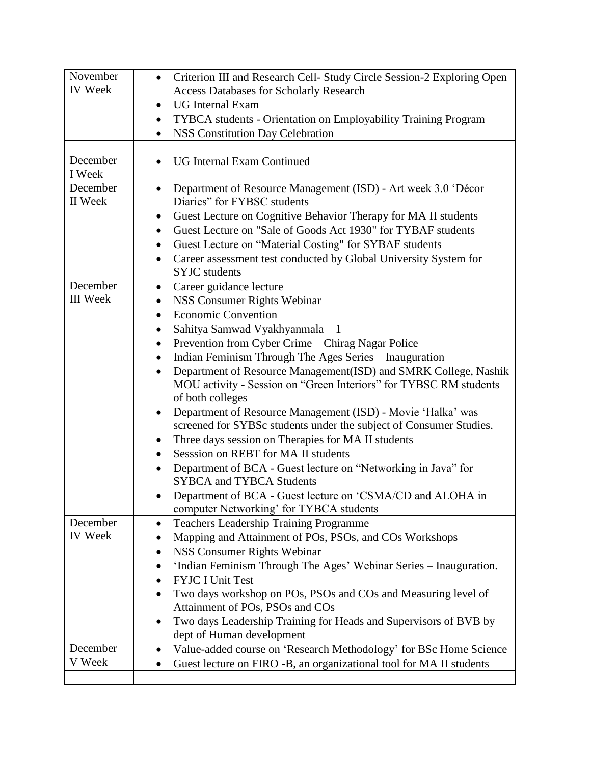| November<br><b>IV</b> Week | Criterion III and Research Cell- Study Circle Session-2 Exploring Open<br>$\bullet$<br><b>Access Databases for Scholarly Research</b> |
|----------------------------|---------------------------------------------------------------------------------------------------------------------------------------|
|                            | <b>UG</b> Internal Exam<br>$\bullet$                                                                                                  |
|                            | TYBCA students - Orientation on Employability Training Program                                                                        |
|                            | <b>NSS Constitution Day Celebration</b>                                                                                               |
|                            |                                                                                                                                       |
| December                   | <b>UG Internal Exam Continued</b>                                                                                                     |
| I Week                     |                                                                                                                                       |
| December                   | Department of Resource Management (ISD) - Art week 3.0 'Décor<br>$\bullet$                                                            |
| II Week                    | Diaries" for FYBSC students                                                                                                           |
|                            | Guest Lecture on Cognitive Behavior Therapy for MA II students<br>$\bullet$                                                           |
|                            | Guest Lecture on "Sale of Goods Act 1930" for TYBAF students<br>٠                                                                     |
|                            | Guest Lecture on "Material Costing" for SYBAF students<br>٠                                                                           |
|                            | Career assessment test conducted by Global University System for                                                                      |
|                            | <b>SYJC</b> students                                                                                                                  |
| December                   | Career guidance lecture<br>$\bullet$                                                                                                  |
| <b>III</b> Week            | NSS Consumer Rights Webinar<br>$\bullet$                                                                                              |
|                            | <b>Economic Convention</b><br>$\bullet$                                                                                               |
|                            | Sahitya Samwad Vyakhyanmala - 1                                                                                                       |
|                            | Prevention from Cyber Crime – Chirag Nagar Police<br>$\bullet$                                                                        |
|                            | Indian Feminism Through The Ages Series - Inauguration<br>$\bullet$                                                                   |
|                            | Department of Resource Management(ISD) and SMRK College, Nashik<br>٠                                                                  |
|                            | MOU activity - Session on "Green Interiors" for TYBSC RM students                                                                     |
|                            | of both colleges                                                                                                                      |
|                            | Department of Resource Management (ISD) - Movie 'Halka' was<br>$\bullet$                                                              |
|                            | screened for SYBSc students under the subject of Consumer Studies.                                                                    |
|                            | Three days session on Therapies for MA II students<br>$\bullet$                                                                       |
|                            | Sesssion on REBT for MA II students                                                                                                   |
|                            | Department of BCA - Guest lecture on "Networking in Java" for                                                                         |
|                            | <b>SYBCA and TYBCA Students</b>                                                                                                       |
|                            | Department of BCA - Guest lecture on 'CSMA/CD and ALOHA in                                                                            |
|                            | computer Networking' for TYBCA students                                                                                               |
| December                   | <b>Teachers Leadership Training Programme</b><br>٠                                                                                    |
| <b>IV</b> Week             | Mapping and Attainment of POs, PSOs, and COs Workshops                                                                                |
|                            | NSS Consumer Rights Webinar<br>٠                                                                                                      |
|                            | 'Indian Feminism Through The Ages' Webinar Series - Inauguration.                                                                     |
|                            | <b>FYJC I Unit Test</b>                                                                                                               |
|                            | Two days workshop on POs, PSOs and COs and Measuring level of                                                                         |
|                            | Attainment of POs, PSOs and COs                                                                                                       |
|                            | Two days Leadership Training for Heads and Supervisors of BVB by                                                                      |
|                            | dept of Human development                                                                                                             |
| December                   | Value-added course on 'Research Methodology' for BSc Home Science<br>٠                                                                |
| V Week                     | Guest lecture on FIRO -B, an organizational tool for MA II students                                                                   |
|                            |                                                                                                                                       |